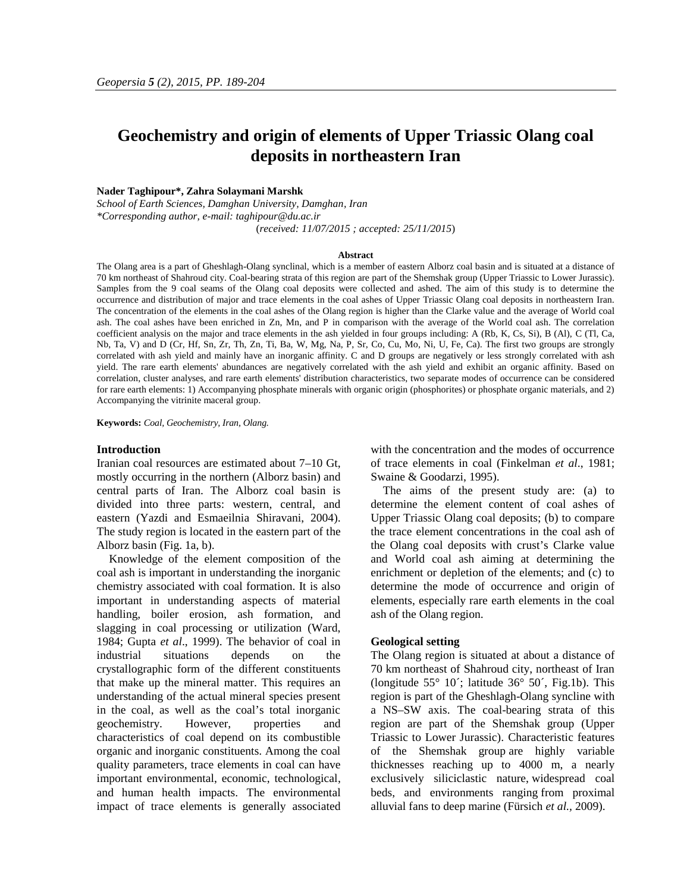# **Geochemistry and origin of elements of Upper Triassic Olang coal deposits in northeastern Iran**

# **Nader Taghipour\*, Zahra Solaymani Marshk**

*School of Earth Sciences, Damghan University, Damghan, Iran \*Corresponding author, e-mail: taghipour@du.ac.ir* (*received: 11/07/2015 ; accepted: 25/11/2015*)

#### **Abstract**

The Olang area is a part of Gheshlagh-Olang synclinal, which is a member of eastern Alborz coal basin and is situated at a distance of 70 km northeast of Shahroud city. Coal-bearing strata of this region are part of the Shemshak group (Upper Triassic to Lower Jurassic). Samples from the 9 coal seams of the Olang coal deposits were collected and ashed. The aim of this study is to determine the occurrence and distribution of major and trace elements in the coal ashes of Upper Triassic Olang coal deposits in northeastern Iran. The concentration of the elements in the coal ashes of the Olang region is higher than the Clarke value and the average of World coal ash. The coal ashes have been enriched in Zn, Mn, and P in comparison with the average of the World coal ash. The correlation coefficient analysis on the major and trace elements in the ash yielded in four groups including: A (Rb, K, Cs, Si), B (Al), C (Tl, Ca, Nb, Ta, V) and D (Cr, Hf, Sn, Zr, Th, Zn, Ti, Ba, W, Mg, Na, P, Sr, Co, Cu, Mo, Ni, U, Fe, Ca). The first two groups are strongly correlated with ash yield and mainly have an inorganic affinity. C and D groups are negatively or less strongly correlated with ash yield. The rare earth elements' abundances are negatively correlated with the ash yield and exhibit an organic affinity. Based on correlation, cluster analyses, and rare earth elements' distribution characteristics, two separate modes of occurrence can be considered for rare earth elements: 1) Accompanying phosphate minerals with organic origin (phosphorites) or phosphate organic materials, and 2) Accompanying the vitrinite maceral group.

**Keywords:** *Coal, Geochemistry, Iran, Olang.*

### **Introduction**

Iranian coal resources are estimated about 7–10 Gt, mostly occurring in the northern (Alborz basin) and central parts of Iran. The Alborz coal basin is divided into three parts: western, central, and eastern (Yazdi and Esmaeilnia Shiravani, 2004). The study region is located in the eastern part of the Alborz basin (Fig. 1a, b).

Knowledge of the element composition of the coal ash is important in understanding the inorganic chemistry associated with coal formation. It is also important in understanding aspects of material handling, boiler erosion, ash formation, and slagging in coal processing or utilization (Ward, 1984; Gupta *et al*., 1999). The behavior of coal in industrial situations depends on the crystallographic form of the different constituents that make up the mineral matter. This requires an understanding of the actual mineral species present in the coal, as well as the coal's total inorganic geochemistry. However, properties and characteristics of coal depend on its combustible organic and inorganic constituents. Among the coal quality parameters, trace elements in coal can have important environmental, economic, technological, and human health impacts. The environmental impact of trace elements is generally associated with the concentration and the modes of occurrence of trace elements in coal (Finkelman *et al*., 1981; Swaine & Goodarzi, 1995).

The aims of the present study are: (a) to determine the element content of coal ashes of Upper Triassic Olang coal deposits; (b) to compare the trace element concentrations in the coal ash of the Olang coal deposits with crust's Clarke value and World coal ash aiming at determining the enrichment or depletion of the elements; and (c) to determine the mode of occurrence and origin of elements, especially rare earth elements in the coal ash of the Olang region.

#### **Geological setting**

The Olang region is situated at about a distance of 70 km northeast of Shahroud city, northeast of Iran (longitude  $55^{\circ}$  10<sup> $\cdot$ </sup>; latitude  $36^{\circ}$  50 $\cdot$ , Fig.1b). This region is part of the Gheshlagh-Olang syncline with a NS–SW axis. The coal-bearing strata of this region are part of the Shemshak group (Upper Triassic to Lower Jurassic). Characteristic features of the Shemshak group are highly variable thicknesses reaching up to 4000 m, a nearly exclusively siliciclastic nature, widespread coal beds, and environments ranging from proximal alluvial fans to deep marine (Fürsich *et al.,* 2009).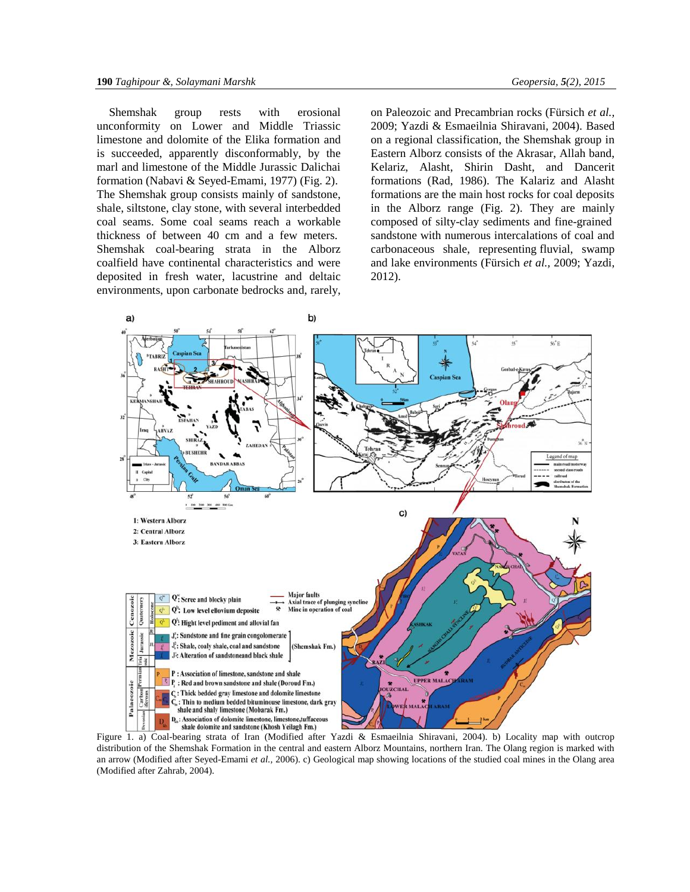Shemshak group rests with erosional unconformity on Lower and Middle Triassic limestone and dolomite of the Elika formation and is succeeded, apparently disconformably, by the marl and limestone of the Middle Jurassic Dalichai formation (Nabavi & Seyed-Emami, 1977) (Fig. 2). The Shemshak group consists mainly of sandstone, shale, siltstone, clay stone, with several interbedded coal seams. Some coal seams reach a workable thickness of between 40 cm and a few meters. Shemshak coal-bearing strata in the Alborz coalfield have continental characteristics and were deposited in fresh water, lacustrine and deltaic environments, upon carbonate bedrocks and, rarely, on Paleozoic and Precambrian rocks (Fürsich *et al.,* 2009; Yazdi & Esmaeilnia Shiravani, 2004). Based on a regional classification, the Shemshak group in Eastern Alborz consists of the Akrasar, Allah band, Kelariz, Alasht, Shirin Dasht, and Dancerit formations (Rad, 1986). The Kalariz and Alasht formations are the main host rocks for coal deposits in the Alborz range (Fig. 2). They are mainly composed of silty-clay sediments and fine-grained sandstone with numerous intercalations of coal and carbonaceous shale, representing fluvial, swamp and lake environments (Fürsich *et al.,* 2009; Yazdi, 2012).



Figure 1. a) Coal-bearing strata of Iran (Modified after Yazdi & Esmaeilnia Shiravani, 2004). b) Locality map with outcrop distribution of the Shemshak Formation in the central and eastern Alborz Mountains, northern Iran. The Olang region is marked with an arrow (Modified after Seyed-Emami *et al.,* 2006). c) Geological map showing locations of the studied coal mines in the Olang area (Modified after Zahrab, 2004).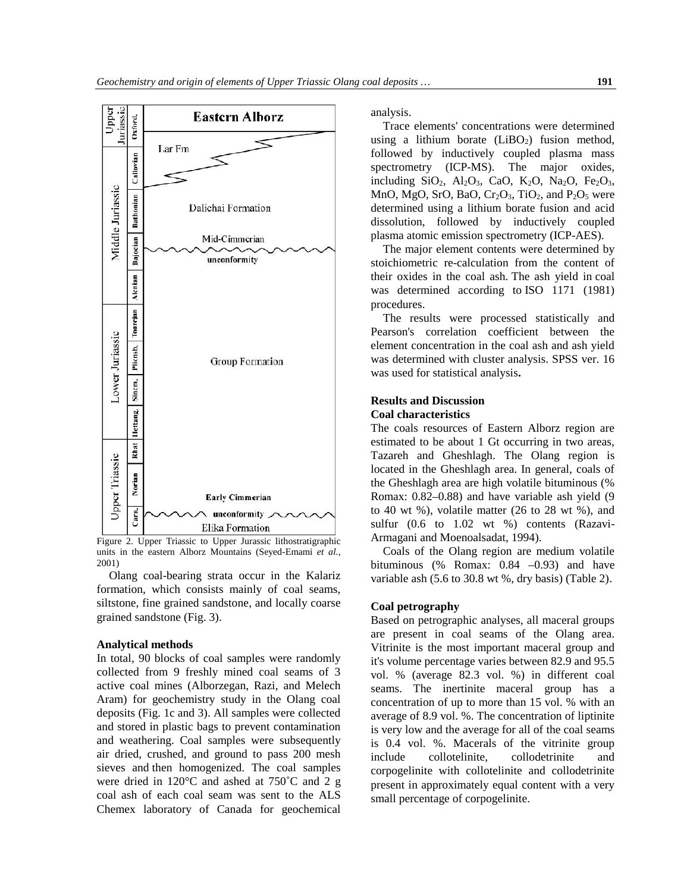

Figure 2. Upper Triassic to Upper Jurassic lithostratigraphic units in the eastern Alborz Mountains (Seyed-Emami *et al.,* 2001)

Olang coal-bearing strata occur in the Kalariz formation, which consists mainly of coal seams, siltstone, fine grained sandstone, and locally coarse grained sandstone (Fig. 3).

# **Analytical methods**

In total, 90 blocks of coal samples were randomly collected from 9 freshly mined coal seams of 3 active coal mines (Alborzegan, Razi, and Melech Aram) for geochemistry study in the Olang coal deposits (Fig. 1c and 3). All samples were collected and stored in plastic bags to prevent contamination and weathering. Coal samples were subsequently air dried, crushed, and ground to pass 200 mesh sieves and then homogenized. The coal samples were dried in 120°C and ashed at 750˚C and 2 g coal ash of each coal seam was sent to the ALS Chemex laboratory of Canada for geochemical

analysis.

Trace elements' concentrations were determined using a lithium borate  $(LiBO<sub>2</sub>)$  fusion method, followed by inductively coupled plasma mass spectrometry (ICP-MS). The major oxides, including SiO<sub>2</sub>, Al<sub>2</sub>O<sub>3</sub>, CaO, K<sub>2</sub>O, Na<sub>2</sub>O, Fe<sub>2</sub>O<sub>3</sub>, MnO, MgO, SrO, BaO,  $Cr<sub>2</sub>O<sub>3</sub>$ , TiO<sub>2</sub>, and P<sub>2</sub>O<sub>5</sub> were determined using a lithium borate fusion and acid dissolution, followed by inductively coupled plasma atomic emission spectrometry (ICP-AES).

The major element contents were determined by stoichiometric re-calculation from the content of their oxides in the coal ash. The ash yield in coal was determined according to ISO 1171 (1981) procedures.

The results were processed statistically and Pearson's correlation coefficient between the element concentration in the coal ash and ash yield was determined with cluster analysis. SPSS ver. 16 was used for statistical analysis**.**

# **Results and Discussion Coal characteristics**

The coals resources of Eastern Alborz region are estimated to be about 1 Gt occurring in two areas, Tazareh and Gheshlagh. The Olang region is located in the Gheshlagh area. In general, coals of the Gheshlagh area are high volatile bituminous (% Romax: 0.82–0.88) and have variable ash yield (9 to 40 wt %), volatile matter (26 to 28 wt %), and sulfur (0.6 to 1.02 wt %) contents (Razavi-Armagani and Moenoalsadat, 1994).

Coals of the Olang region are medium volatile bituminous (% Romax:  $0.84 -0.93$ ) and have variable ash (5.6 to 30.8 wt %, dry basis) (Table 2).

# **Coal petrography**

Based on petrographic analyses, all maceral groups are present in coal seams of the Olang area. Vitrinite is the most important maceral group and it's volume percentage varies between 82.9 and 95.5 vol. % (average 82.3 vol. %) in different coal seams. The inertinite maceral group has a concentration of up to more than 15 vol. % with an average of 8.9 vol. %. The concentration of liptinite is very low and the average for all of the coal seams is 0.4 vol. %. Macerals of the vitrinite group collotelinite, collodetrinite and corpogelinite with collotelinite and collodetrinite present in approximately equal content with a very small percentage of corpogelinite.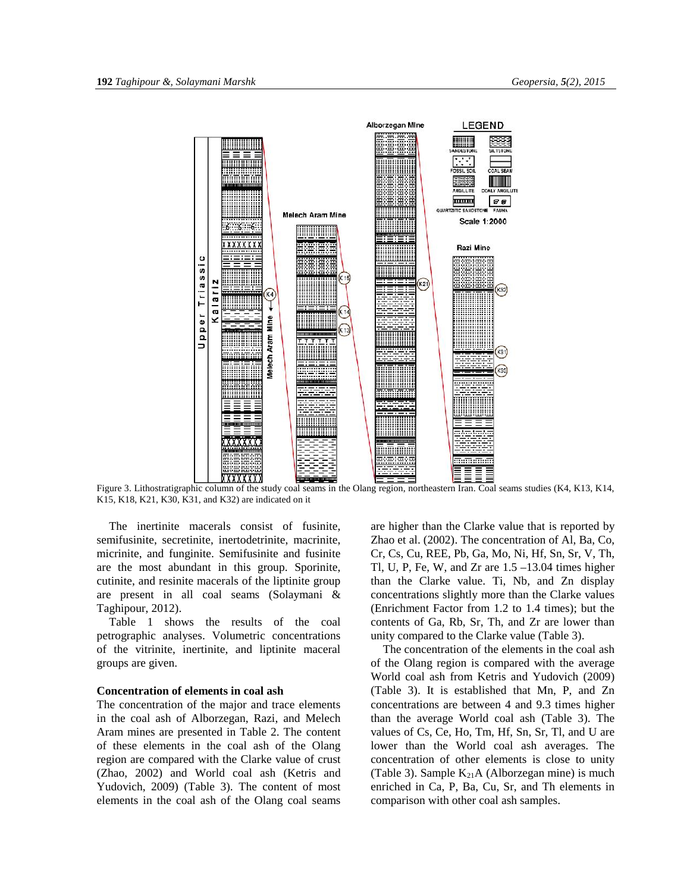

Figure 3. Lithostratigraphic column of the study coal seams in the Olang region, northeastern Iran. Coal seams studies (K4, K13, K14, K15, K18, K21, K30, K31, and K32) are indicated on it

The inertinite macerals consist of fusinite, semifusinite, secretinite, inertodetrinite, macrinite, micrinite, and funginite. Semifusinite and fusinite are the most abundant in this group. Sporinite, cutinite, and resinite macerals of the liptinite group are present in all coal seams (Solaymani & Taghipour, 2012).

Table 1 shows the results of the coal petrographic analyses. Volumetric concentrations of the vitrinite, inertinite, and liptinite maceral groups are given.

# **Concentration of elements in coal ash**

The concentration of the major and trace elements in the coal ash of Alborzegan, Razi, and Melech Aram mines are presented in Table 2. The content of these elements in the coal ash of the Olang region are compared with the Clarke value of crust (Zhao, 2002) and World coal ash (Ketris and Yudovich, 2009) (Table 3). The content of most elements in the coal ash of the Olang coal seams are higher than the Clarke value that is reported by Zhao et al. (2002). The concentration of Al, Ba, Co, Cr, Cs, Cu, REE, Pb, Ga, Mo, Ni, Hf, Sn, Sr, V, Th, Tl, U, P, Fe, W, and Zr are  $1.5 - 13.04$  times higher than the Clarke value. Ti, Nb, and Zn display concentrations slightly more than the Clarke values (Enrichment Factor from 1.2 to 1.4 times); but the contents of Ga, Rb, Sr, Th, and Zr are lower than unity compared to the Clarke value (Table 3).

The concentration of the elements in the coal ash of the Olang region is compared with the average World coal ash from Ketris and Yudovich (2009) (Table 3). It is established that Mn, P, and Zn concentrations are between 4 and 9.3 times higher than the average World coal ash (Table 3). The values of Cs, Ce, Ho, Tm, Hf, Sn, Sr, Tl, and U are lower than the World coal ash averages. The concentration of other elements is close to unity (Table 3). Sample  $K_{21}A$  (Alborzegan mine) is much enriched in Ca, P, Ba, Cu, Sr, and Th elements in comparison with other coal ash samples.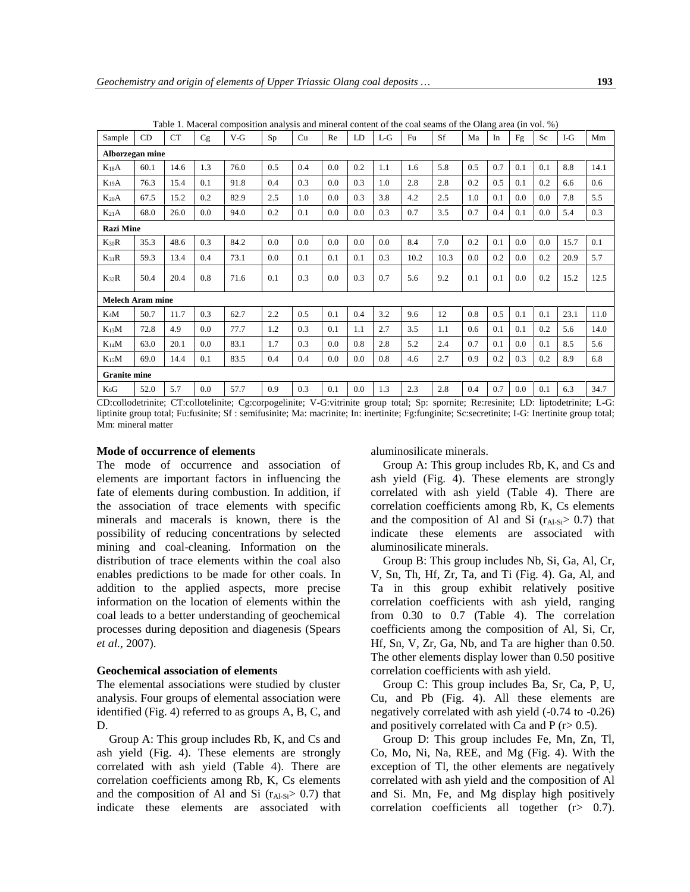| Sample                  | CD   | <b>CT</b> | Cg  | $V-G$ | Sp  | Cu  | Re      | LD  | $L-G$ | Fu   | Sf   | Ma  | In  | Fg  | Sc  | $I-G$ | Mm   |
|-------------------------|------|-----------|-----|-------|-----|-----|---------|-----|-------|------|------|-----|-----|-----|-----|-------|------|
| Alborzegan mine         |      |           |     |       |     |     |         |     |       |      |      |     |     |     |     |       |      |
| $K_{18}A$               | 60.1 | 14.6      | 1.3 | 76.0  | 0.5 | 0.4 | 0.0     | 0.2 | 1.1   | 1.6  | 5.8  | 0.5 | 0.7 | 0.1 | 0.1 | 8.8   | 14.1 |
| $K_{19}A$               | 76.3 | 15.4      | 0.1 | 91.8  | 0.4 | 0.3 | 0.0     | 0.3 | 1.0   | 2.8  | 2.8  | 0.2 | 0.5 | 0.1 | 0.2 | 6.6   | 0.6  |
| $K_{20}A$               | 67.5 | 15.2      | 0.2 | 82.9  | 2.5 | 1.0 | 0.0     | 0.3 | 3.8   | 4.2  | 2.5  | 1.0 | 0.1 | 0.0 | 0.0 | 7.8   | 5.5  |
| $K_{21}A$               | 68.0 | 26.0      | 0.0 | 94.0  | 0.2 | 0.1 | 0.0     | 0.0 | 0.3   | 0.7  | 3.5  | 0.7 | 0.4 | 0.1 | 0.0 | 5.4   | 0.3  |
| <b>Razi Mine</b>        |      |           |     |       |     |     |         |     |       |      |      |     |     |     |     |       |      |
| $K_{30}R$               | 35.3 | 48.6      | 0.3 | 84.2  | 0.0 | 0.0 | 0.0     | 0.0 | 0.0   | 8.4  | 7.0  | 0.2 | 0.1 | 0.0 | 0.0 | 15.7  | 0.1  |
| $K_{31}R$               | 59.3 | 13.4      | 0.4 | 73.1  | 0.0 | 0.1 | 0.1     | 0.1 | 0.3   | 10.2 | 10.3 | 0.0 | 0.2 | 0.0 | 0.2 | 20.9  | 5.7  |
| $K_{32}R$               | 50.4 | 20.4      | 0.8 | 71.6  | 0.1 | 0.3 | 0.0     | 0.3 | 0.7   | 5.6  | 9.2  | 0.1 | 0.1 | 0.0 | 0.2 | 15.2  | 12.5 |
| <b>Melech Aram mine</b> |      |           |     |       |     |     |         |     |       |      |      |     |     |     |     |       |      |
| $K_4M$                  | 50.7 | 11.7      | 0.3 | 62.7  | 2.2 | 0.5 | 0.1     | 0.4 | 3.2   | 9.6  | 12   | 0.8 | 0.5 | 0.1 | 0.1 | 23.1  | 11.0 |
| $K_{13}M$               | 72.8 | 4.9       | 0.0 | 77.7  | 1.2 | 0.3 | 0.1     | 1.1 | 2.7   | 3.5  | 1.1  | 0.6 | 0.1 | 0.1 | 0.2 | 5.6   | 14.0 |
| $K_{14}M$               | 63.0 | 20.1      | 0.0 | 83.1  | 1.7 | 0.3 | 0.0     | 0.8 | 2.8   | 5.2  | 2.4  | 0.7 | 0.1 | 0.0 | 0.1 | 8.5   | 5.6  |
| $K_{15}M$               | 69.0 | 14.4      | 0.1 | 83.5  | 0.4 | 0.4 | $0.0\,$ | 0.0 | 0.8   | 4.6  | 2.7  | 0.9 | 0.2 | 0.3 | 0.2 | 8.9   | 6.8  |
| <b>Granite mine</b>     |      |           |     |       |     |     |         |     |       |      |      |     |     |     |     |       |      |
| $K_6G$                  | 52.0 | 5.7       | 0.0 | 57.7  | 0.9 | 0.3 | 0.1     | 0.0 | 1.3   | 2.3  | 2.8  | 0.4 | 0.7 | 0.0 | 0.1 | 6.3   | 34.7 |

Table 1. Maceral composition analysis and mineral content of the coal seams of the Olang area (in vol. %)

CD:collodetrinite; CT:collotelinite; Cg:corpogelinite; V-G:vitrinite group total; Sp: spornite; Re:resinite; LD: liptodetrinite; L-G: liptinite group total; Fu:fusinite; Sf : semifusinite; Ma: macrinite; In: inertinite; Fg:funginite; Sc:secretinite; I-G: Inertinite group total; Mm: mineral matter

# **Mode of occurrence of elements**

The mode of occurrence and association of elements are important factors in influencing the fate of elements during combustion. In addition, if the association of trace elements with specific minerals and macerals is known, there is the possibility of reducing concentrations by selected mining and coal-cleaning. Information on the distribution of trace elements within the coal also enables predictions to be made for other coals. In addition to the applied aspects, more precise information on the location of elements within the coal leads to a better understanding of geochemical processes during deposition and diagenesis (Spears *et al.,* 2007).

## **Geochemical association of elements**

The elemental associations were studied by cluster analysis. Four groups of elemental association were identified (Fig. 4) referred to as groups A, B, C, and D.

Group A: This group includes Rb, K, and Cs and ash yield (Fig. 4). These elements are strongly correlated with ash yield (Table 4). There are correlation coefficients among Rb, K, Cs elements and the composition of Al and Si  $(r_{Al-Si} > 0.7)$  that indicate these elements are associated with aluminosilicate minerals.

Group A: This group includes Rb, K, and Cs and ash yield (Fig. 4). These elements are strongly correlated with ash yield (Table 4). There are correlation coefficients among Rb, K, Cs elements and the composition of Al and Si  $(r_{Al-Si} > 0.7)$  that indicate these elements are associated with aluminosilicate minerals.

Group B: This group includes Nb, Si, Ga, Al, Cr, V, Sn, Th, Hf, Zr, Ta, and Ti (Fig. 4). Ga, Al, and Ta in this group exhibit relatively positive correlation coefficients with ash yield, ranging from 0.30 to 0.7 (Table 4). The correlation coefficients among the composition of Al, Si, Cr, Hf, Sn, V, Zr, Ga, Nb, and Ta are higher than 0.50. The other elements display lower than 0.50 positive correlation coefficients with ash yield.

Group C: This group includes Ba, Sr, Ca, P, U, Cu, and Pb (Fig. 4). All these elements are negatively correlated with ash yield (-0.74 to -0.26) and positively correlated with Ca and P  $(r > 0.5)$ .

Group D: This group includes Fe, Mn, Zn, Tl, Co, Mo, Ni, Na, REE, and Mg (Fig. 4). With the exception of Tl, the other elements are negatively correlated with ash yield and the composition of Al and Si. Mn, Fe, and Mg display high positively correlation coefficients all together (r> 0.7).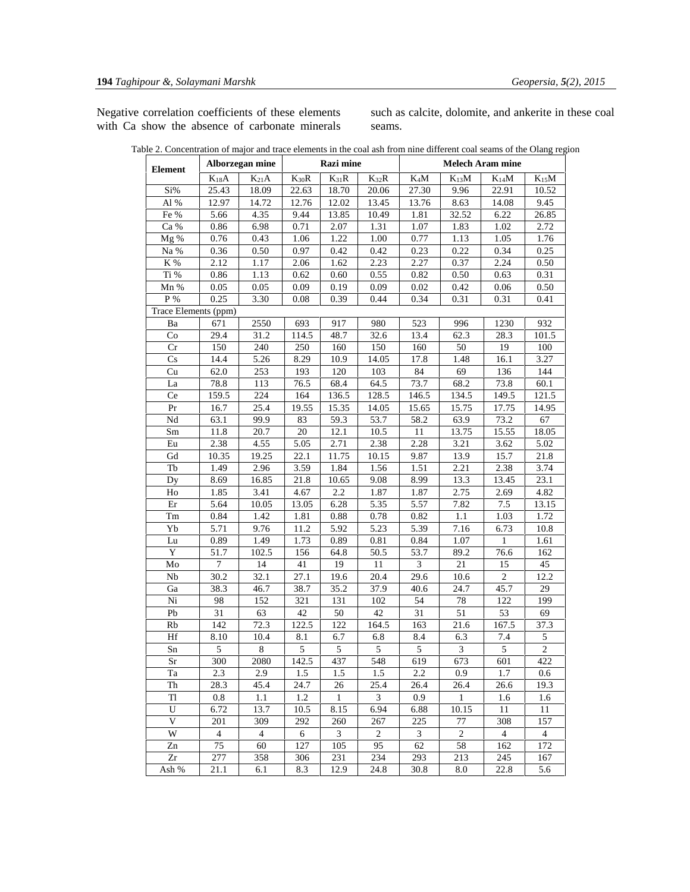Negative correlation coefficients of these elements with Ca show the absence of carbonate minerals such as calcite, dolomite, and ankerite in these coal seams.

| Table 2. Concentration of major and trace elements in the coal ash from nine different coal seams of the Olang region |
|-----------------------------------------------------------------------------------------------------------------------|
|-----------------------------------------------------------------------------------------------------------------------|

| <b>Element</b>         |                | Alborzegan mine |           | Razi mine |                | <b>Melech Aram mine</b> |           |                |                |  |  |
|------------------------|----------------|-----------------|-----------|-----------|----------------|-------------------------|-----------|----------------|----------------|--|--|
|                        | $K_{18}A$      | $K_{21}A$       | $K_{30}R$ | $K_{31}R$ | $K_{32}R$      | $K_4M$                  | $K_{13}M$ | $K_{14}M$      | $K_{15}M$      |  |  |
| Si%                    | 25.43          | 18.09           | 22.63     | 18.70     | 20.06          | 27.30                   | 9.96      | 22.91          | 10.52          |  |  |
| Al $\%$                | 12.97          | 14.72           | 12.76     | 12.02     | 13.45          | 13.76                   | 8.63      | 14.08          | 9.45           |  |  |
| Fe %                   | 5.66           | 4.35            | 9.44      | 13.85     | 10.49          | 1.81                    | 32.52     | 6.22           | 26.85          |  |  |
| Ca %                   | 0.86           | 6.98            | 0.71      | 2.07      | 1.31           | 1.07                    | 1.83      | 1.02           | 2.72           |  |  |
| Mg%                    | 0.76           | 0.43            | 1.06      | 1.22      | 1.00           | 0.77                    | 1.13      | 1.05           | 1.76           |  |  |
| Na %                   | 0.36           | 0.50            | 0.97      | 0.42      | 0.42           | 0.23                    | 0.22      | 0.34           | 0.25           |  |  |
| $\rm K$ %              | 2.12           | 1.17            | 2.06      | 1.62      | 2.23           | 2.27                    | 0.37      | 2.24           | $0.50\,$       |  |  |
| Ti %                   | 0.86           | 1.13            | 0.62      | 0.60      | 0.55           | 0.82                    | 0.50      | 0.63           | 0.31           |  |  |
| Mn %                   | 0.05           | 0.05            | 0.09      | 0.19      | 0.09           | 0.02                    | 0.42      | 0.06           | 0.50           |  |  |
| P %                    | 0.25           | 3.30            | 0.08      | 0.39      | 0.44           | 0.34                    | 0.31      | 0.31           | 0.41           |  |  |
| Trace Elements (ppm)   |                |                 |           |           |                |                         |           |                |                |  |  |
| Ba                     | 671            | 2550            | 693       | 917       | 980            | 523                     | 996       | 1230           | 932            |  |  |
| Co                     | 29.4           | 31.2            | 114.5     | 48.7      | 32.6           | 13.4                    | 62.3      | 28.3           | 101.5          |  |  |
| Cr                     | 150            | 240             | 250       | 160       | 150            | 160                     | 50        | 19             | 100            |  |  |
| $\mathbf{C}\mathbf{s}$ | 14.4           | 5.26            | 8.29      | 10.9      | 14.05          | 17.8                    | 1.48      | 16.1           | 3.27           |  |  |
| Cu                     | 62.0           | 253             | 193       | 120       | 103            | 84                      | 69        | 136            | 144            |  |  |
| La                     | 78.8           | 113             | 76.5      | 68.4      | 64.5           | 73.7                    | 68.2      | 73.8           | 60.1           |  |  |
| Ce                     | 159.5          | 224             | 164       | 136.5     | 128.5          | 146.5                   | 134.5     | 149.5          | 121.5          |  |  |
| Pr                     | 16.7           | 25.4            | 19.55     | 15.35     | 14.05          | 15.65                   | 15.75     | 17.75          | 14.95          |  |  |
| $\rm Nd$               | 63.1           | 99.9            | 83        | 59.3      | 53.7           | 58.2                    | 63.9      | 73.2           | 67             |  |  |
| Sm                     | 11.8           | 20.7            | 20        | 12.1      | 10.5           | 11                      | 13.75     | 15.55          | 18.05          |  |  |
| Eu                     | 2.38           | 4.55            | 5.05      | 2.71      | 2.38           | 2.28                    | 3.21      | 3.62           | 5.02           |  |  |
| Gd                     | 10.35          | 19.25           | 22.1      | 11.75     | 10.15          | 9.87                    | 13.9      | 15.7           | 21.8           |  |  |
| Tb                     | 1.49           | 2.96            | 3.59      | 1.84      | 1.56           | 1.51                    | 2.21      | 2.38           | 3.74           |  |  |
| Dy                     | 8.69           | 16.85           | 21.8      | 10.65     | 9.08           | 8.99                    | 13.3      | 13.45          | 23.1           |  |  |
| Ho                     | 1.85           | 3.41            | 4.67      | 2.2       | 1.87           | 1.87                    | 2.75      | 2.69           | 4.82           |  |  |
| Er                     | 5.64           | 10.05           | 13.05     | 6.28      | 5.35           | 5.57                    | 7.82      | 7.5            | 13.15          |  |  |
| Tm                     | 0.84           | 1.42            | 1.81      | 0.88      | 0.78           | $0.82\,$                | 1.1       | 1.03           | 1.72           |  |  |
| Yb                     | 5.71           | 9.76            | 11.2      | 5.92      | 5.23           | 5.39                    | 7.16      | 6.73           | 10.8           |  |  |
| Lu                     | 0.89           | 1.49            | 1.73      | 0.89      | 0.81           | 0.84                    | 1.07      | $\mathbf{1}$   | 1.61           |  |  |
| Y                      | 51.7           | 102.5           | 156       | 64.8      | 50.5           | 53.7                    | 89.2      | 76.6           | 162            |  |  |
| Mo                     | $\overline{7}$ | 14              | 41        | 19        | 11             | 3                       | 21        | 15             | 45             |  |  |
| Nb                     | 30.2           | 32.1            | 27.1      | 19.6      | 20.4           | 29.6                    | 10.6      | $\overline{c}$ | 12.2           |  |  |
| Ga                     | 38.3           | 46.7            | 38.7      | 35.2      | 37.9           | 40.6                    | 24.7      | 45.7           | 29             |  |  |
| Ni                     | 98             | 152             | 321       | 131       | 102            | 54                      | 78        | 122            | 199            |  |  |
| Pb                     | 31             | 63              | 42        | 50        | 42             | 31                      | 51        | 53             | 69             |  |  |
| Rb                     | 142            | 72.3            | 122.5     | 122       | 164.5          | 163                     | 21.6      | 167.5          | 37.3           |  |  |
| Hf                     | 8.10           | 10.4            | 8.1       | 6.7       | 6.8            | 8.4                     | 6.3       | 7.4            | 5              |  |  |
| Sn                     | 5              | 8               | 5         | 5         | 5              | 5                       | 3         | 5              | $\overline{c}$ |  |  |
| $\rm Sr$               | 300            | 2080            | 142.5     | 437       | 548            | 619                     | 673       | 601            | 422            |  |  |
| Ta                     | 2.3            | 2.9             | 1.5       | 1.5       | 1.5            | 2.2                     | 0.9       | 1.7            | 0.6            |  |  |
| Th                     | 28.3           | 45.4            | 24.7      | 26        | 25.4           | 26.4                    | 26.4      | 26.6           | 19.3           |  |  |
| Tl                     | 0.8            | 1.1             | 1.2       | 1         | 3              | 0.9                     | -1        | 1.6            | 1.6            |  |  |
| U                      | 6.72           | 13.7            | 10.5      | 8.15      | 6.94           | 6.88                    | 10.15     | 11             | 11             |  |  |
| V                      | 201            | 309             | 292       | 260       | 267            | 225                     | 77        | 308            | 157            |  |  |
| W                      | $\overline{4}$ | $\overline{4}$  | 6         | 3         | $\overline{2}$ | 3                       | 2         | $\overline{4}$ | $\overline{4}$ |  |  |
| Zn                     | 75             | 60              | 127       | 105       | 95             | 62                      | 58        | 162            | 172            |  |  |
| Zr                     | 277            | 358             | 306       | 231       | 234            | 293                     | 213       | 245            | 167            |  |  |
| Ash %                  | 21.1           | 6.1             | 8.3       | 12.9      | 24.8           | 30.8                    | 8.0       | 22.8           | 5.6            |  |  |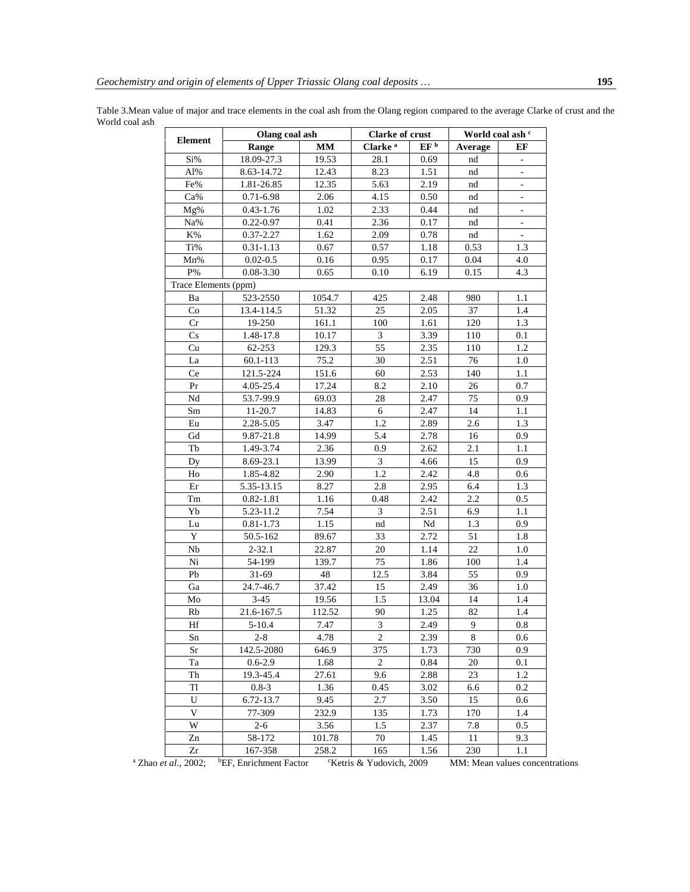Table 3.Mean value of major and trace elements in the coal ash from the Olang region compared to the average Clarke of crust and the World coal ash

|                        | Olang coal ash |        | <b>Clarke of crust</b> |                 | World coal ash c |                          |  |
|------------------------|----------------|--------|------------------------|-----------------|------------------|--------------------------|--|
| <b>Element</b>         | Range          | MМ     | Clarke <sup>a</sup>    | EF <sup>b</sup> | Average          | EF                       |  |
| Si%                    | 18.09-27.3     | 19.53  | 28.1                   | 0.69            | nd               | $\overline{\phantom{a}}$ |  |
| Al%                    | 8.63-14.72     | 12.43  | 8.23                   | 1.51            | nd               |                          |  |
| Fe%                    | 1.81-26.85     | 12.35  | 5.63                   | 2.19            | nd               |                          |  |
| Ca%                    | $0.71 - 6.98$  | 2.06   | 4.15                   | 0.50            | nd               | $\overline{\phantom{a}}$ |  |
| Mg%                    | $0.43 - 1.76$  | 1.02   | 2.33                   | 0.44            | nd               | $\overline{\phantom{a}}$ |  |
| Na%                    | $0.22 - 0.97$  | 0.41   | 2.36                   | 0.17            | nd               | $\Box$                   |  |
| K%                     | 0.37-2.27      | 1.62   | 2.09                   | 0.78            | nd               | $\overline{\phantom{a}}$ |  |
| Ti%                    | $0.31 - 1.13$  | 0.67   | 0.57                   | 1.18            | 0.53             | 1.3                      |  |
| Mn%                    | $0.02 - 0.5$   | 0.16   | 0.95                   | 0.17            | 0.04             | 4.0                      |  |
| $\mathrm{P}\%$         | $0.08 - 3.30$  | 0.65   | 0.10                   | 6.19            | 0.15             | 4.3                      |  |
| Trace Elements (ppm)   |                |        |                        |                 |                  |                          |  |
| Ba                     | 523-2550       | 1054.7 | 425                    | 2.48            | 980              | 1.1                      |  |
| Co                     | 13.4-114.5     | 51.32  | 25                     | 2.05            | 37               | 1.4                      |  |
| Cr                     | 19-250         | 161.1  | 100                    | 1.61            | 120              | 1.3                      |  |
| $\mathbf{C}\mathbf{s}$ | 1.48-17.8      | 10.17  | $\mathfrak{Z}$         | 3.39            | 110              | 0.1                      |  |
| Cu                     | 62-253         | 129.3  | 55                     | 2.35            | 110              | 1.2                      |  |
| La                     | 60.1-113       | 75.2   | 30                     | 2.51            | 76               | 1.0                      |  |
| Ce                     | 121.5-224      | 151.6  | 60                     | 2.53            | 140              | 1.1                      |  |
| Pr                     | 4.05-25.4      | 17.24  | 8.2                    | 2.10            | 26               | 0.7                      |  |
| Nd                     | 53.7-99.9      | 69.03  | 28                     | 2.47            | 75               | 0.9                      |  |
| Sm                     | 11-20.7        | 14.83  | 6                      | 2.47            | 14               | 1.1                      |  |
| Eu                     | 2.28-5.05      | 3.47   | 1.2                    | 2.89            | 2.6              | 1.3                      |  |
| Gd                     | 9.87-21.8      | 14.99  | 5.4                    | 2.78            | 16               | 0.9                      |  |
| Tb                     | 1.49-3.74      | 2.36   | 0.9                    | 2.62            | 2.1              | 1.1                      |  |
| Dy                     | 8.69-23.1      | 13.99  | 3                      | 4.66            | 15               | 0.9                      |  |
| Ho                     | 1.85-4.82      | 2.90   | 1.2                    | 2.42            | 4.8              | 0.6                      |  |
| Er                     | 5.35-13.15     | 8.27   | 2.8                    | 2.95            | 6.4              | 1.3                      |  |
| Tm                     | $0.82 - 1.81$  | 1.16   | 0.48                   | 2.42            | 2.2              | 0.5                      |  |
| Yb                     | 5.23-11.2      | 7.54   | 3                      | 2.51            | 6.9              | 1.1                      |  |
| Lu                     | $0.81 - 1.73$  | 1.15   | nd                     | Nd              | 1.3              | 0.9                      |  |
| Y                      | 50.5-162       | 89.67  | 33                     | 2.72            | 51               | 1.8                      |  |
| Nb                     | $2 - 32.1$     | 22.87  | 20                     | 1.14            | 22               | 1.0                      |  |
| Ni                     | 54-199         | 139.7  | 75                     | 1.86            | 100              | 1.4                      |  |
| Pb                     | $31-69$        | 48     | 12.5                   | 3.84            | 55               | 0.9                      |  |
| Ga                     | 24.7-46.7      | 37.42  | 15                     | 2.49            | 36               | 1.0                      |  |
| Mo                     | $3 - 45$       | 19.56  | 1.5                    | 13.04           | 14               | 1.4                      |  |
| Rb                     | 21.6-167.5     | 112.52 | 90                     | 1.25            | 82               | 1.4                      |  |
| Hf                     | $5 - 10.4$     | 7.47   | $\overline{3}$         | 2.49            | 9                | 0.8                      |  |
| Sn                     | $2 - 8$        | 4.78   | $\overline{c}$         | 2.39            | 8                | 0.6                      |  |
| Sr                     | 142.5-2080     | 646.9  | 375                    | 1.73            | 730              | 0.9                      |  |
| Ta                     | $0.6 - 2.9$    | 1.68   | 2                      | 0.84            | 20               | 0.1                      |  |
| Th                     | 19.3-45.4      | 27.61  | 9.6                    | 2.88            | 23               | 1.2                      |  |
| Tl                     | $0.8 - 3$      | 1.36   | 0.45                   | 3.02            | 6.6              | 0.2                      |  |
| U                      | 6.72-13.7      | 9.45   | 2.7                    | 3.50            | 15               | 0.6                      |  |
| $\mathbf{V}$           | 77-309         | 232.9  | 135                    | 1.73            | 170              | 1.4                      |  |
| W                      | $2 - 6$        | 3.56   | 1.5                    | 2.37            | 7.8              | 0.5                      |  |
| Zn                     | 58-172         | 101.78 | 70                     | 1.45            | 11               | 9.3                      |  |
| Zr                     | 167-358        | 258.2  | 165                    | 1.56            | 230              | 1.1                      |  |
|                        |                |        |                        |                 |                  |                          |  |

<sup>a</sup> Zhao *et al.*, 2002; <sup>b</sup>EF, Enrichment Factor <sup>c</sup>Ketris & Yudovich, 2009 MM: Mean values concentrations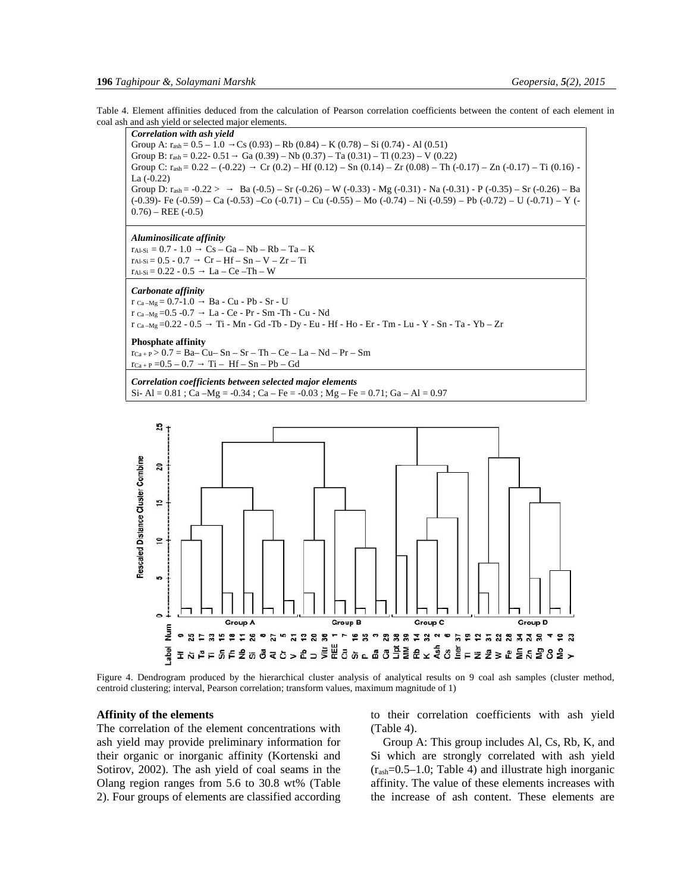Table 4. Element affinities deduced from the calculation of Pearson correlation coefficients between the content of each element in coal ash and ash yield or selected major elements.

*Correlation with ash yield* Group A:  $r_{ash} = 0.5 - 1.0$   $Cs (0.93) - Rb (0.84) - K (0.78) - Si (0.74) - Al (0.51)$ Group B:  $r_{ash} = 0.22 - 0.51$  Ga  $(0.39) - Nb$   $(0.37) - Ta$   $(0.31) - Ti$   $(0.23) - V$   $(0.22)$ Group C:  $r_{ash} = 0.22 - (-0.22)$  Cr  $(0.2) - Hf (0.12) - Sn (0.14) - Zr (0.08) - Th (-0.17) - Zn (-0.17) - Ti (0.16) - Tr (0.19)$ La (-0.22) Group D:  $r_{\text{ash}} = -0.22$  >  $\rightarrow$  Ba  $(-0.5) - Sr (-0.26) - W (-0.33) - Mg (-0.31) - Na (-0.31) - P (-0.35) - Sr (-0.26) - Ba$ (-0.39)- Fe (-0.59) – Ca (-0.53) –Co (-0.71) – Cu (-0.55) – Mo (-0.74) – Ni (-0.59) – Pb (-0.72) – U (-0.71) – Y (-  $(0.76) - \text{REE}$  (-0.5)

### *Aluminosilicate affinity*

 $r_{Al-Si} = 0.7 - 1.0$   $Cs - Ga - Nb - Rb - Ta - K$ <br> $r_{Al-Si} = 0.5 - 0.7$   $Cr - Hf - Sn - V - Zr - Ti$  $Cr - Hf - Sn - V - Zr - Ti$ <br>La – Ce –Th – W  $r_{Al-Si} = 0.22 - 0.5$ 

#### *Carbonate affinity*

 $r_{Ca-Mg} = 0.7-1.0$  Ba - Cu - Pb - Sr - U<br> $r_{Ca-Mg} = 0.5$  - 0.7 La - Ce - Pr - Sm - Th La - Ce - Pr - Sm -Th - Cu - Nd  $r_{Ca-Mg} = 0.22 - 0.5$   $T_i - Mn - Gd - Tb - Dy - Eu - Hf - Ho - Er - Tm - Lu - Y - Sn - Ta - Yb - Zr$ 

# **Phosphate affinity**

 $rc_{a+P} > 0.7 = Ba- Cu - Sn - Sr - Th - Ce - La - Nd - Pr - Sm$  $r_{Ca+P} = 0.5 - 0.7$   $Ti - Hf - Sn - Pb - Gd$ 

# *Correlation coefficients between selected major elements*

Si- Al =  $0.81$ ; Ca – Mg =  $-0.34$ ; Ca – Fe =  $-0.03$ ; Mg – Fe =  $0.71$ ; Ga – Al =  $0.97$ 



Figure 4. Dendrogram produced by the hierarchical cluster analysis of analytical results on 9 coal ash samples (cluster method, centroid clustering; interval, Pearson correlation; transform values, maximum magnitude of 1)

## **Affinity of the elements**

The correlation of the element concentrations with ash yield may provide preliminary information for their organic or inorganic affinity (Kortenski and Sotirov, 2002). The ash yield of coal seams in the Olang region ranges from 5.6 to 30.8 wt% (Table 2). Four groups of elements are classified according to their correlation coefficients with ash yield (Table 4).

Group A: This group includes Al, Cs, Rb, K, and Si which are strongly correlated with ash yield  $(r_{ash}=0.5-1.0;$  Table 4) and illustrate high inorganic affinity. The value of these elements increases with the increase of ash content. These elements are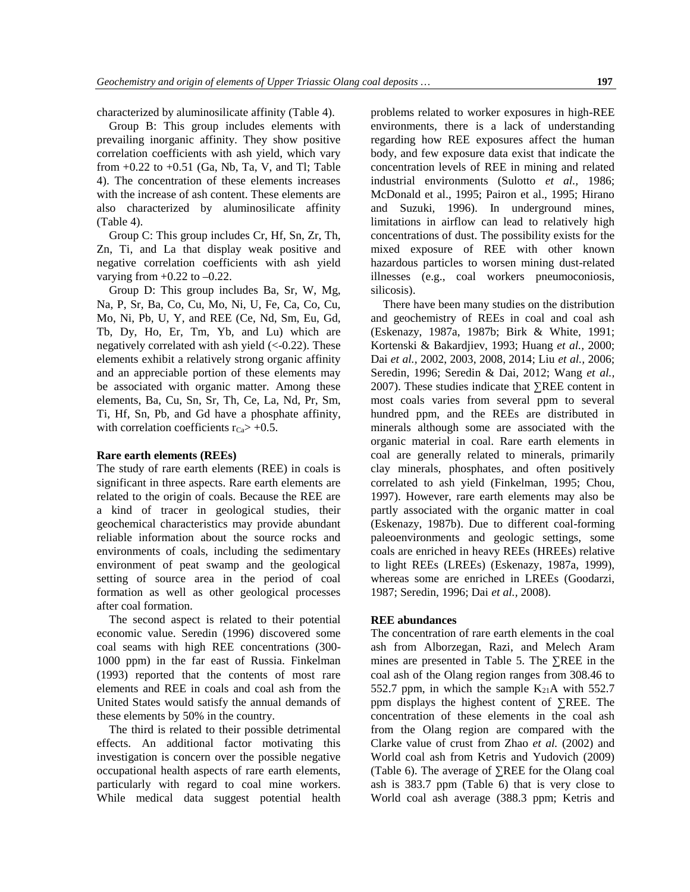characterized by aluminosilicate affinity (Table 4).

Group B: This group includes elements with prevailing inorganic affinity. They show positive correlation coefficients with ash yield, which vary from  $+0.22$  to  $+0.51$  (Ga, Nb, Ta, V, and Tl; Table 4). The concentration of these elements increases with the increase of ash content. These elements are also characterized by aluminosilicate affinity (Table 4).

Group C: This group includes Cr, Hf, Sn, Zr, Th, Zn, Ti, and La that display weak positive and negative correlation coefficients with ash yield varying from  $+0.22$  to  $-0.22$ .

Group D: This group includes Ba, Sr, W, Mg, Na, P, Sr, Ba, Co, Cu, Mo, Ni, U, Fe, Ca, Co, Cu, Mo, Ni, Pb, U, Y, and REE (Ce, Nd, Sm, Eu, Gd, Tb, Dy, Ho, Er, Tm, Yb, and Lu) which are negatively correlated with ash yield  $\left(<0.22\right)$ . These elements exhibit a relatively strong organic affinity and an appreciable portion of these elements may be associated with organic matter. Among these elements, Ba, Cu, Sn, Sr, Th, Ce, La, Nd, Pr, Sm, Ti, Hf, Sn, Pb, and Gd have a phosphate affinity, with correlation coefficients  $r_{Ca}$  ÷ 0.5.

# **Rare earth elements (REEs)**

The study of rare earth elements (REE) in coals is significant in three aspects. Rare earth elements are related to the origin of coals. Because the REE are a kind of tracer in geological studies, their geochemical characteristics may provide abundant reliable information about the source rocks and environments of coals, including the sedimentary environment of peat swamp and the geological setting of source area in the period of coal formation as well as other geological processes after coal formation.

The second aspect is related to their potential economic value. Seredin (1996) discovered some coal seams with high REE concentrations (300- 1000 ppm) in the far east of Russia. Finkelman (1993) reported that the contents of most rare elements and REE in coals and coal ash from the United States would satisfy the annual demands of these elements by 50% in the country.

The third is related to their possible detrimental effects. An additional factor motivating this investigation is concern over the possible negative occupational health aspects of rare earth elements, particularly with regard to coal mine workers. While medical data suggest potential health problems related to worker exposures in high-REE environments, there is a lack of understanding regarding how REE exposures affect the human body, and few exposure data exist that indicate the concentration levels of REE in mining and related industrial environments (Sulotto *et al.,* 1986; McDonald et al., 1995; Pairon et al., 1995; Hirano and Suzuki, 1996). In underground mines, limitations in airflow can lead to relatively high concentrations of dust. The possibility exists for the mixed exposure of REE with other known hazardous particles to worsen mining dust-related illnesses (e.g., coal workers pneumoconiosis, silicosis).

There have been many studies on the distribution and geochemistry of REEs in coal and coal ash (Eskenazy, 1987a, 1987b; Birk & White, 1991; Kortenski & Bakardjiev, 1993; Huang *et al.,* 2000; Dai *et al.,* 2002, 2003, 2008, 2014; Liu *et al.,* 2006; Seredin, 1996; Seredin & Dai, 2012; Wang *et al.,* 2007). These studies indicate that REE content in most coals varies from several ppm to several hundred ppm, and the REEs are distributed in minerals although some are associated with the organic material in coal. Rare earth elements in coal are generally related to minerals, primarily clay minerals, phosphates, and often positively correlated to ash yield (Finkelman, 1995; Chou, 1997). However, rare earth elements may also be partly associated with the organic matter in coal (Eskenazy, 1987b). Due to different coal-forming paleoenvironments and geologic settings, some coals are enriched in heavy REEs (HREEs) relative to light REEs (LREEs) (Eskenazy, 1987a, 1999), whereas some are enriched in LREEs (Goodarzi, 1987; Seredin, 1996; Dai *et al.,* 2008).

# **REE abundances**

The concentration of rare earth elements in the coal ash from Alborzegan, Razi, and Melech Aram mines are presented in Table 5. The REE in the coal ash of the Olang region ranges from 308.46 to 552.7 ppm, in which the sample  $K_{21}A$  with 552.7 ppm displays the highest content of REE. The concentration of these elements in the coal ash from the Olang region are compared with the Clarke value of crust from Zhao *et al.* (2002) and World coal ash from Ketris and Yudovich (2009) (Table 6). The average of REE for the Olang coal ash is 383.7 ppm (Table 6) that is very close to World coal ash average (388.3 ppm; Ketris and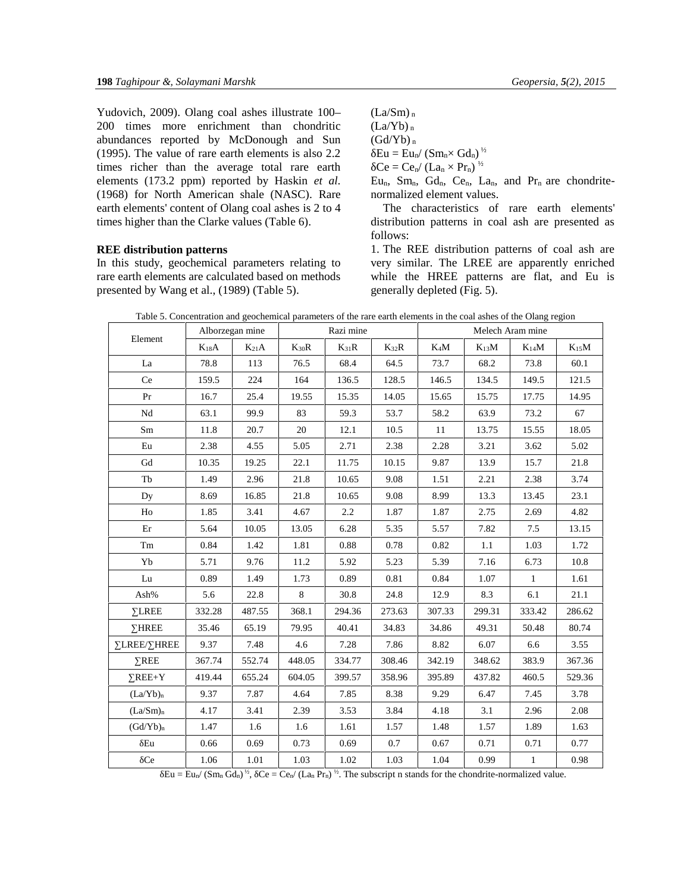Yudovich, 2009). Olang coal ashes illustrate 100– 200 times more enrichment than chondritic abundances reported by McDonough and Sun (1995). The value of rare earth elements is also 2.2 times richer than the average total rare earth elements (173.2 ppm) reported by Haskin *et al.* (1968) for North American shale (NASC). Rare earth elements' content of Olang coal ashes is 2 to 4 times higher than the Clarke values (Table 6).

# **REE distribution patterns**

In this study, geochemical parameters relating to rare earth elements are calculated based on methods presented by Wang et al., (1989) (Table 5).

 $(La/Sm)$ <sub>n</sub>  $(La/Yb)$ <sub>n</sub>  $(Gd/Yb)_n$  $Eu = Eu_n / (Sm_n \times Gd_n)^{\frac{1}{2}}$  $Ce = Ce_n/(La_n \times Pr_n)^{\frac{1}{2}}$ 

Eu<sub>n</sub>, Sm<sub>n</sub>, Gd<sub>n</sub>, Ce<sub>n</sub>, La<sub>n</sub>, and Pr<sub>n</sub> are chondritenormalized element values.

The characteristics of rare earth elements' distribution patterns in coal ash are presented as follows:

1. The REE distribution patterns of coal ash are very similar. The LREE are apparently enriched while the HREE patterns are flat, and Eu is generally depleted (Fig. 5).

| Table 5. Concentration and geochemical parameters of the rare earth elements in the coal ashes of the Olang region |  |
|--------------------------------------------------------------------------------------------------------------------|--|
|--------------------------------------------------------------------------------------------------------------------|--|

| Element              |           | Alborzegan mine |           | Razi mine |           | Melech Aram mine |           |              |           |  |
|----------------------|-----------|-----------------|-----------|-----------|-----------|------------------|-----------|--------------|-----------|--|
|                      | $K_{18}A$ | $K_{21}A$       | $K_{30}R$ | $K_{31}R$ | $K_{32}R$ | $K_4M$           | $K_{13}M$ | $K_{14}M$    | $K_{15}M$ |  |
| La                   | 78.8      | 113             | 76.5      | 68.4      | 64.5      | 73.7             | 68.2      | 73.8         | 60.1      |  |
| Ce                   | 159.5     | 224             | 164       | 136.5     | 128.5     | 146.5            | 134.5     | 149.5        | 121.5     |  |
| Pr                   | 16.7      | 25.4            | 19.55     | 15.35     | 14.05     | 15.65            | 15.75     | 17.75        | 14.95     |  |
| Nd                   | 63.1      | 99.9            | 83        | 59.3      | 53.7      | 58.2             | 63.9      | 73.2         | 67        |  |
| $\rm Sm$             | 11.8      | 20.7            | 20        | 12.1      | 10.5      | 11               | 13.75     | 15.55        | 18.05     |  |
| Eu                   | 2.38      | 4.55            | 5.05      | 2.71      | 2.38      | 2.28             | 3.21      | 3.62         | 5.02      |  |
| Gd                   | 10.35     | 19.25           | 22.1      | 11.75     | 10.15     | 9.87             | 13.9      | 15.7         | 21.8      |  |
| Tb                   | 1.49      | 2.96            | 21.8      | 10.65     | 9.08      | 1.51             | 2.21      | 2.38         | 3.74      |  |
| Dy                   | 8.69      | 16.85           | 21.8      | 10.65     | 9.08      | 8.99             | 13.3      | 13.45        | 23.1      |  |
| H <sub>o</sub>       | 1.85      | 3.41            | 4.67      | 2.2       | 1.87      | 1.87             | 2.75      | 2.69         | 4.82      |  |
| Er                   | 5.64      | 10.05           | 13.05     | 6.28      | 5.35      | 5.57             | 7.82      | 7.5          | 13.15     |  |
| Tm                   | 0.84      | 1.42            | 1.81      | 0.88      | 0.78      | 0.82             | 1.1       | 1.03         | 1.72      |  |
| Yb                   | 5.71      | 9.76            | 11.2      | 5.92      | 5.23      | 5.39             | 7.16      | 6.73         | 10.8      |  |
| Lu                   | 0.89      | 1.49            | 1.73      | 0.89      | 0.81      | 0.84             | 1.07      | $\mathbf{1}$ | 1.61      |  |
| Ash%                 | 5.6       | 22.8            | 8         | 30.8      | 24.8      | 12.9             | 8.3       | 6.1          | 21.1      |  |
| <b>LREE</b>          | 332.28    | 487.55          | 368.1     | 294.36    | 273.63    | 307.33           | 299.31    | 333.42       | 286.62    |  |
| <b>HREE</b>          | 35.46     | 65.19           | 79.95     | 40.41     | 34.83     | 34.86            | 49.31     | 50.48        | 80.74     |  |
| LREE/ HREE           | 9.37      | 7.48            | 4.6       | 7.28      | 7.86      | 8.82             | 6.07      | 6.6          | 3.55      |  |
| REE                  | 367.74    | 552.74          | 448.05    | 334.77    | 308.46    | 342.19           | 348.62    | 383.9        | 367.36    |  |
| $REE+Y$              | 419.44    | 655.24          | 604.05    | 399.57    | 358.96    | 395.89           | 437.82    | 460.5        | 529.36    |  |
| (La/Yb) <sub>n</sub> | 9.37      | 7.87            | 4.64      | 7.85      | 8.38      | 9.29             | 6.47      | 7.45         | 3.78      |  |
| (La/Sm) <sub>n</sub> | 4.17      | 3.41            | 2.39      | 3.53      | 3.84      | 4.18             | 3.1       | 2.96         | 2.08      |  |
| (Gd/Yb) <sub>n</sub> | 1.47      | 1.6             | 1.6       | 1.61      | 1.57      | 1.48             | 1.57      | 1.89         | 1.63      |  |
| Eu                   | 0.66      | 0.69            | 0.73      | 0.69      | 0.7       | 0.67             | 0.71      | 0.71         | 0.77      |  |
| Ce                   | 1.06      | 1.01            | 1.03      | 1.02      | 1.03      | 1.04             | 0.99      | $\,1\,$      | 0.98      |  |

 $Eu = Eu_n / (Sm_n Gd_n)^{\frac{1}{2}}$ ,  $Ce = Ce_n / (La_n Pr_n)^{\frac{1}{2}}$ . The subscript n stands for the chondrite-normalized value.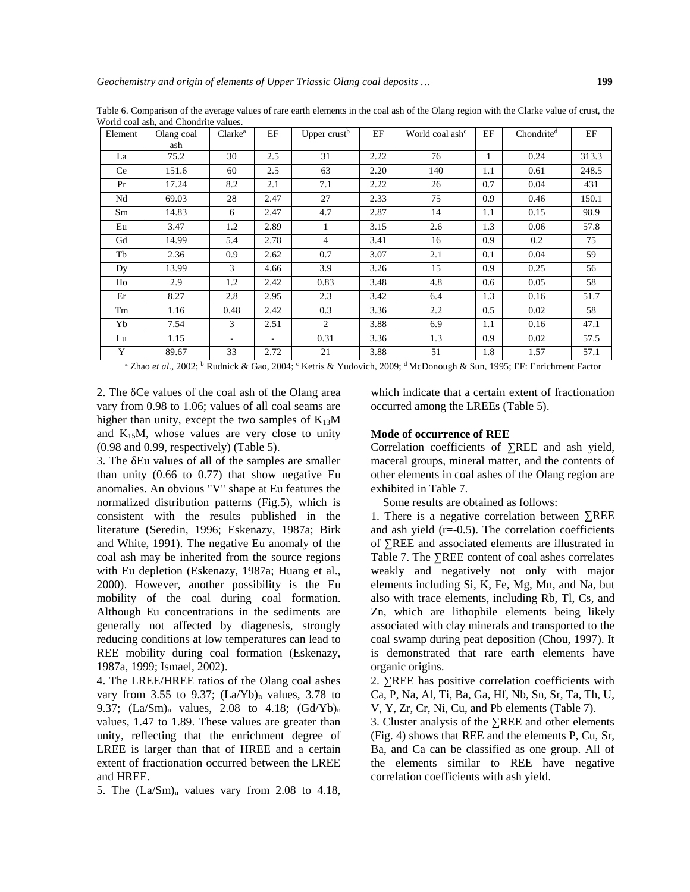| Element | Olang coal | Clarke <sup>a</sup> | EF   | Upper crust <sup>b</sup> | EF   | World coal ash <sup>c</sup> | EF           | Chondrite <sup>d</sup> | EF    |
|---------|------------|---------------------|------|--------------------------|------|-----------------------------|--------------|------------------------|-------|
|         | ash        |                     |      |                          |      |                             |              |                        |       |
| La      | 75.2       | 30                  | 2.5  | 31                       | 2.22 | 76                          | $\mathbf{1}$ | 0.24                   | 313.3 |
| Ce      | 151.6      | 60                  | 2.5  | 63                       | 2.20 | 140                         | 1.1          | 0.61                   | 248.5 |
| Pr      | 17.24      | 8.2                 | 2.1  | 7.1                      | 2.22 | 26                          | 0.7          | 0.04                   | 431   |
| Nd      | 69.03      | 28                  | 2.47 | 27                       | 2.33 | 75                          | 0.9          | 0.46                   | 150.1 |
| Sm      | 14.83      | 6                   | 2.47 | 4.7                      | 2.87 | 14                          | 1.1          | 0.15                   | 98.9  |
| Eu      | 3.47       | 1.2                 | 2.89 |                          | 3.15 | 2.6                         | 1.3          | 0.06                   | 57.8  |
| Gd      | 14.99      | 5.4                 | 2.78 | $\overline{4}$           | 3.41 | 16                          | 0.9          | 0.2                    | 75    |
| Tb      | 2.36       | 0.9                 | 2.62 | 0.7                      | 3.07 | 2.1                         | 0.1          | 0.04                   | 59    |
| Dy      | 13.99      | 3                   | 4.66 | 3.9                      | 3.26 | 15                          | 0.9          | 0.25                   | 56    |
| Ho      | 2.9        | 1.2                 | 2.42 | 0.83                     | 3.48 | 4.8                         | 0.6          | 0.05                   | 58    |
| Er      | 8.27       | 2.8                 | 2.95 | 2.3                      | 3.42 | 6.4                         | 1.3          | 0.16                   | 51.7  |
| Tm      | 1.16       | 0.48                | 2.42 | 0.3                      | 3.36 | 2.2                         | 0.5          | 0.02                   | 58    |
| Yb      | 7.54       | 3                   | 2.51 | 2                        | 3.88 | 6.9                         | 1.1          | 0.16                   | 47.1  |
| Lu      | 1.15       | ٠                   | ۰    | 0.31                     | 3.36 | 1.3                         | 0.9          | 0.02                   | 57.5  |
| Y       | 89.67      | 33                  | 2.72 | 21                       | 3.88 | 51                          | 1.8          | 1.57                   | 57.1  |

Table 6. Comparison of the average values of rare earth elements in the coal ash of the Olang region with the Clarke value of crust, the World coal ash, and Chondrite values.

<sup>a</sup> Zhao *et al.*, 2002; <sup>b</sup> Rudnick & Gao, 2004; <sup>c</sup> Ketris & Yudovich, 2009; <sup>d</sup> McDonough & Sun, 1995; EF: Enrichment Factor

2. The Ce values of the coal ash of the Olang area vary from 0.98 to 1.06; values of all coal seams are higher than unity, except the two samples of  $K_{13}M$ and  $K_{15}M$ , whose values are very close to unity (0.98 and 0.99, respectively) (Table 5).

3. The Eu values of all of the samples are smaller than unity  $(0.66 \text{ to } 0.77)$  that show negative Eu anomalies. An obvious "V" shape at Eu features the normalized distribution patterns (Fig.5), which is consistent with the results published in the literature (Seredin, 1996; Eskenazy, 1987a; Birk and White, 1991). The negative Eu anomaly of the coal ash may be inherited from the source regions with Eu depletion (Eskenazy, 1987a; Huang et al., 2000). However, another possibility is the Eu mobility of the coal during coal formation. Although Eu concentrations in the sediments are generally not affected by diagenesis, strongly reducing conditions at low temperatures can lead to REE mobility during coal formation (Eskenazy, 1987a, 1999; Ismael, 2002).

4. The LREE/HREE ratios of the Olang coal ashes vary from 3.55 to 9.37;  $(La/Yb)$ <sub>n</sub> values, 3.78 to 9.37;  $(La/Sm)<sub>n</sub>$  values, 2.08 to 4.18;  $(Gd/Yb)<sub>n</sub>$ values, 1.47 to 1.89. These values are greater than unity, reflecting that the enrichment degree of LREE is larger than that of HREE and a certain extent of fractionation occurred between the LREE and HREE.

5. The  $(La/Sm)<sub>n</sub>$  values vary from 2.08 to 4.18,

which indicate that a certain extent of fractionation occurred among the LREEs (Table 5).

### **Mode of occurrence of REE**

Correlation coefficients of REE and ash yield, maceral groups, mineral matter, and the contents of other elements in coal ashes of the Olang region are exhibited in Table 7.

Some results are obtained as follows:

1. There is a negative correlation between REE and ash yield  $(r=0.5)$ . The correlation coefficients of ∑REE and associated elements are illustrated in Table 7. The REE content of coal ashes correlates weakly and negatively not only with major elements including Si, K, Fe, Mg, Mn, and Na, but also with trace elements, including Rb, Tl, Cs, and Zn, which are lithophile elements being likely associated with clay minerals and transported to the coal swamp during peat deposition (Chou, 1997). It is demonstrated that rare earth elements have organic origins.

2. REE has positive correlation coefficients with Ca, P, Na, Al, Ti, Ba, Ga, Hf, Nb, Sn, Sr, Ta, Th, U, V, Y, Zr, Cr, Ni, Cu, and Pb elements (Table 7).

3. Cluster analysis of the REE and other elements (Fig. 4) shows that REE and the elements P, Cu, Sr, Ba, and Ca can be classified as one group. All of the elements similar to REE have negative correlation coefficients with ash yield.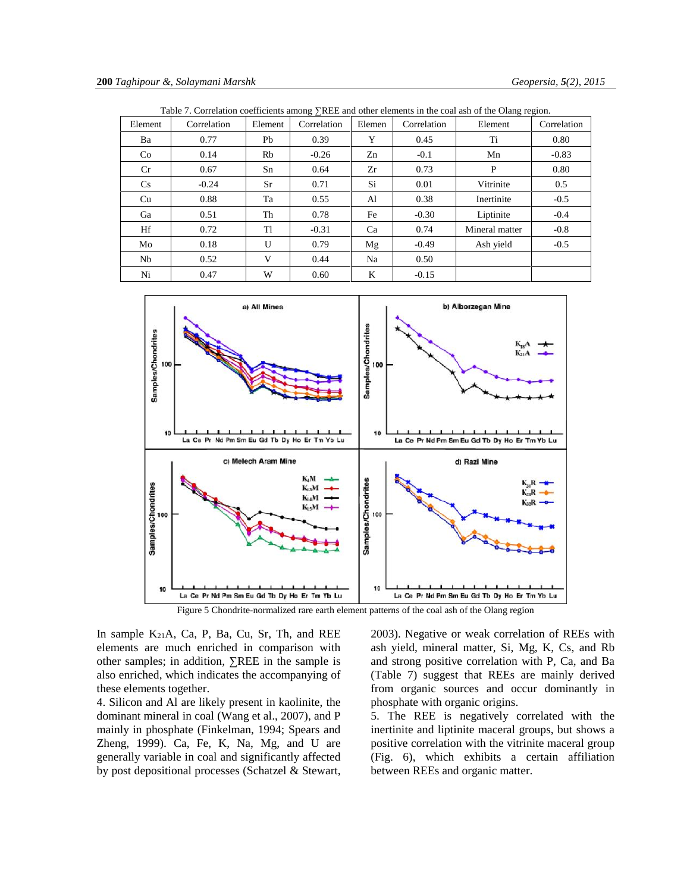|           |             |         |             |        |             | Table 7. Correlation coefficients among true and other cientents in the coal ash of the Olang region. |             |
|-----------|-------------|---------|-------------|--------|-------------|-------------------------------------------------------------------------------------------------------|-------------|
| Element   | Correlation | Element | Correlation | Elemen | Correlation | Element                                                                                               | Correlation |
| Ba        | 0.77        | Pb      | 0.39        | Y      | 0.45        | Ti                                                                                                    | 0.80        |
| Co        | 0.14        | Rb      | $-0.26$     | Zn     | $-0.1$      | Mn                                                                                                    | $-0.83$     |
| <b>Cr</b> | 0.67        | Sn      | 0.64        | Zr     | 0.73        | P                                                                                                     | 0.80        |
| <b>Cs</b> | $-0.24$     | Sr      | 0.71        | Si     | 0.01        | Vitrinite                                                                                             | 0.5         |
| Cu        | 0.88        | Ta      | 0.55        | Al     | 0.38        | Inertinite                                                                                            | $-0.5$      |
| Ga        | 0.51        | Th      | 0.78        | Fe     | $-0.30$     | Liptinite                                                                                             | $-0.4$      |
| Hf        | 0.72        | TI      | $-0.31$     | Ca     | 0.74        | Mineral matter                                                                                        | $-0.8$      |
| Mo        | 0.18        | U       | 0.79        | Mg     | $-0.49$     | Ash yield                                                                                             | $-0.5$      |
| Nb.       | 0.52        | V       | 0.44        | Na     | 0.50        |                                                                                                       |             |
| Ni        | 0.47        | W       | 0.60        | K      | $-0.15$     |                                                                                                       |             |

Table 7. Correlation coefficients among REE and other elements in the coal ash of the Olang region.



Figure 5 Chondrite-normalized rare earth element patterns of the coal ash of the Olang region

In sample  $K_{21}A$ , Ca, P, Ba, Cu, Sr, Th, and REE elements are much enriched in comparison with other samples; in addition, REE in the sample is also enriched, which indicates the accompanying of these elements together.

4. Silicon and Al are likely present in kaolinite, the dominant mineral in coal (Wang et al., 2007), and P mainly in phosphate (Finkelman, 1994; Spears and Zheng, 1999). Ca, Fe, K, Na, Mg, and U are generally variable in coal and significantly affected by post depositional processes (Schatzel & Stewart, 2003). Negative or weak correlation of REEs with ash yield, mineral matter, Si, Mg, K, Cs, and Rb and strong positive correlation with P, Ca, and Ba (Table 7) suggest that REEs are mainly derived from organic sources and occur dominantly in phosphate with organic origins.

5. The REE is negatively correlated with the inertinite and liptinite maceral groups, but shows a positive correlation with the vitrinite maceral group (Fig. 6), which exhibits a certain affiliation between REEs and organic matter.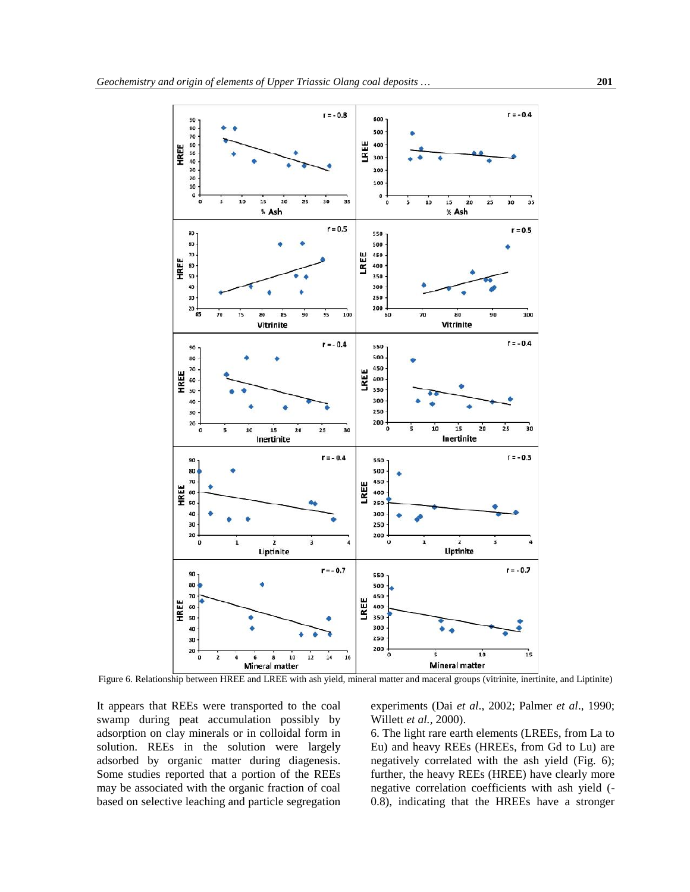

Figure 6. Relationship between HREE and LREE with ash yield, mineral matter and maceral groups (vitrinite, inertinite, and Liptinite)

It appears that REEs were transported to the coal swamp during peat accumulation possibly by adsorption on clay minerals or in colloidal form in solution. REEs in the solution were largely adsorbed by organic matter during diagenesis. Some studies reported that a portion of the REEs may be associated with the organic fraction of coal based on selective leaching and particle segregation experiments (Dai *et al*., 2002; Palmer *et al*., 1990; Willett *et al.,* 2000).

6. The light rare earth elements (LREEs, from La to Eu) and heavy REEs (HREEs, from Gd to Lu) are negatively correlated with the ash yield (Fig. 6); further, the heavy REEs (HREE) have clearly more negative correlation coefficients with ash yield (- 0.8), indicating that the HREEs have a stronger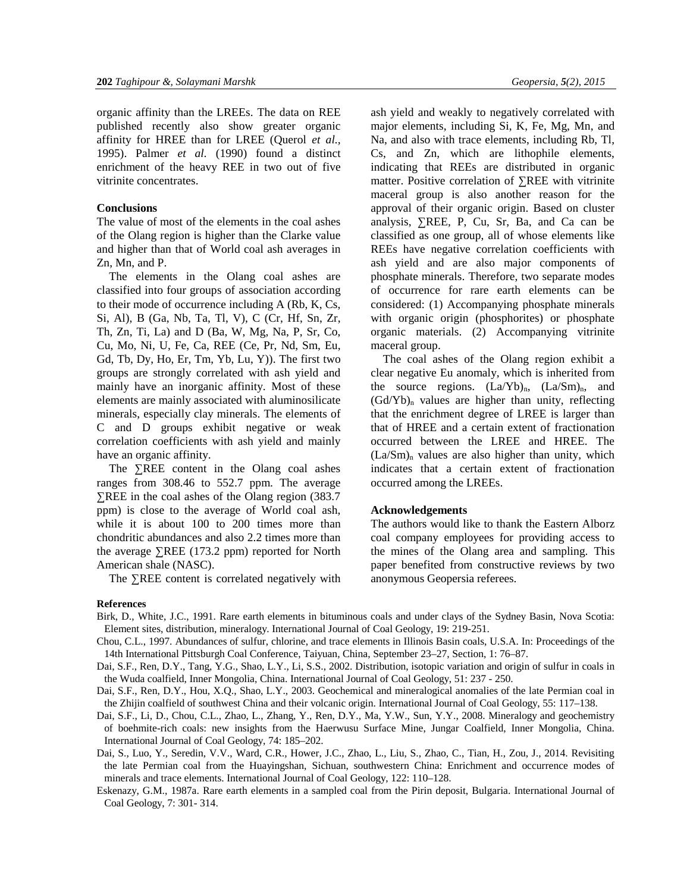organic affinity than the LREEs. The data on REE published recently also show greater organic affinity for HREE than for LREE (Querol *et al.,* 1995). Palmer *et al.* (1990) found a distinct enrichment of the heavy REE in two out of five vitrinite concentrates.

# **Conclusions**

The value of most of the elements in the coal ashes of the Olang region is higher than the Clarke value and higher than that of World coal ash averages in Zn, Mn, and P.

The elements in the Olang coal ashes are classified into four groups of association according to their mode of occurrence including A (Rb, K, Cs, Si, Al), B (Ga, Nb, Ta, Tl, V), C (Cr, Hf, Sn, Zr, Th, Zn, Ti, La) and D (Ba, W, Mg, Na, P, Sr, Co, Cu, Mo, Ni, U, Fe, Ca, REE (Ce, Pr, Nd, Sm, Eu, Gd, Tb, Dy, Ho, Er, Tm, Yb, Lu, Y)). The first two groups are strongly correlated with ash yield and mainly have an inorganic affinity. Most of these elements are mainly associated with aluminosilicate minerals, especially clay minerals. The elements of C and D groups exhibit negative or weak correlation coefficients with ash yield and mainly have an organic affinity.

The REE content in the Olang coal ashes ranges from 308.46 to 552.7 ppm. The average

REE in the coal ashes of the Olang region (383.7) ppm) is close to the average of World coal ash, while it is about 100 to 200 times more than chondritic abundances and also 2.2 times more than the average REE (173.2 ppm) reported for North American shale (NASC).

The REE content is correlated negatively with

# **References**

- Birk, D., White, J.C., 1991. Rare earth elements in bituminous coals and under clays of the Sydney Basin, Nova Scotia: Element sites, distribution, mineralogy. International Journal of Coal Geology, 19: 219-251.
- Chou, C.L., 1997. Abundances of sulfur, chlorine, and trace elements in Illinois Basin coals, U.S.A. In: Proceedings of the 14th International Pittsburgh Coal Conference, Taiyuan, China, September 23–27, Section, 1: 76–87.

Dai, S.F., Ren, D.Y., Tang, Y.G., Shao, L.Y., Li, S.S., 2002. Distribution, isotopic variation and origin of sulfur in coals in the Wuda coalfield, Inner Mongolia, China. International Journal of Coal Geology, 51: 237 - 250.

Dai, S.F., Ren, D.Y., Hou, X.Q., Shao, L.Y., 2003. Geochemical and mineralogical anomalies of the late Permian coal in the Zhijin coalfield of southwest China and their volcanic origin. International Journal of Coal Geology, 55: 117–138.

- Dai, S.F., Li, D., Chou, C.L., Zhao, L., Zhang, Y., Ren, D.Y., Ma, Y.W., Sun, Y.Y., 2008. Mineralogy and geochemistry of boehmite-rich coals: new insights from the Haerwusu Surface Mine, Jungar Coalfield, Inner Mongolia, China. International Journal of Coal Geology, 74: 185–202.
- Dai, S., Luo, Y., Seredin, V.V., Ward, C.R., Hower, J.C., Zhao, L., Liu, S., Zhao, C., Tian, H., Zou, J., 2014. Revisiting the late Permian coal from the Huayingshan, Sichuan, southwestern China: Enrichment and occurrence modes of minerals and trace elements. International Journal of Coal Geology, 122: 110–128.
- Eskenazy, G.M., 1987a. Rare earth elements in a sampled coal from the Pirin deposit, Bulgaria. International Journal of Coal Geology, 7: 301- 314.

ash yield and weakly to negatively correlated with major elements, including Si, K, Fe, Mg, Mn, and Na, and also with trace elements, including Rb, Tl, Cs, and Zn, which are lithophile elements, indicating that REEs are distributed in organic matter. Positive correlation of REE with vitrinite maceral group is also another reason for the approval of their organic origin. Based on cluster analysis, ∑REE, P, Cu, Sr, Ba, and Ca can be classified as one group, all of whose elements like REEs have negative correlation coefficients with ash yield and are also major components of phosphate minerals. Therefore, two separate modes of occurrence for rare earth elements can be considered: (1) Accompanying phosphate minerals with organic origin (phosphorites) or phosphate organic materials. (2) Accompanying vitrinite maceral group.

The coal ashes of the Olang region exhibit a clear negative Eu anomaly, which is inherited from the source regions.  $(La/Yb)<sub>n</sub>$ ,  $(La/Sm)<sub>n</sub>$ , and  $(Gd/Yb)<sub>n</sub>$  values are higher than unity, reflecting that the enrichment degree of LREE is larger than that of HREE and a certain extent of fractionation occurred between the LREE and HREE. The  $(La/Sm)$ <sub>n</sub> values are also higher than unity, which indicates that a certain extent of fractionation occurred among the LREEs.

# **Acknowledgements**

The authors would like to thank the Eastern Alborz coal company employees for providing access to the mines of the Olang area and sampling. This paper benefited from constructive reviews by two anonymous Geopersia referees.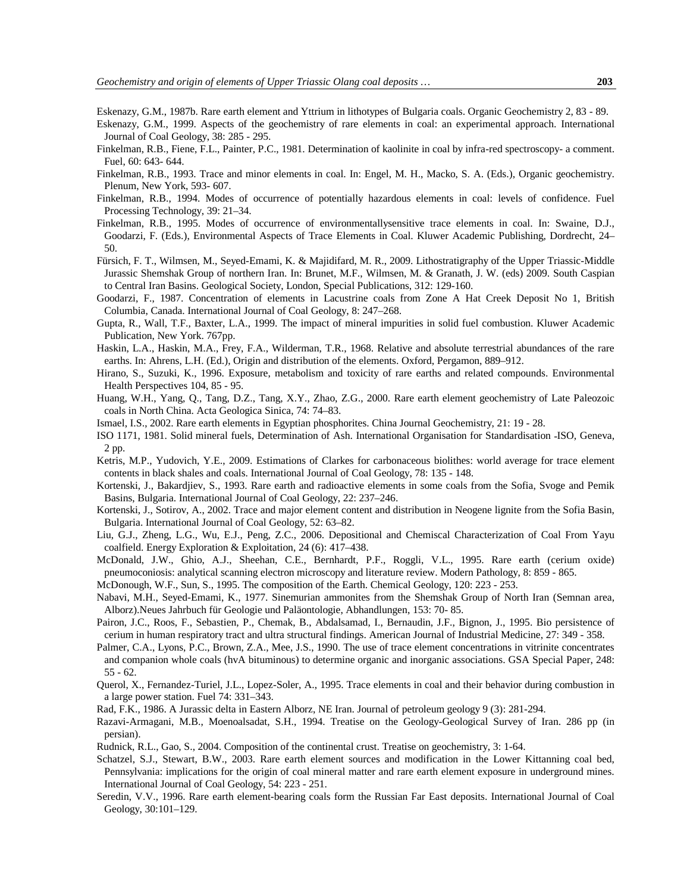Eskenazy, G.M., 1987b. Rare earth element and Yttrium in lithotypes of Bulgaria coals. Organic Geochemistry 2, 83 - 89.

- Eskenazy, G.M., 1999. Aspects of the geochemistry of rare elements in coal: an experimental approach. International Journal of Coal Geology, 38: 285 - 295.
- Finkelman, R.B., Fiene, F.L., Painter, P.C., 1981. Determination of kaolinite in coal by infra-red spectroscopy- a comment. Fuel, 60: 643- 644.
- Finkelman, R.B., 1993. Trace and minor elements in coal. In: Engel, M. H., Macko, S. A. (Eds.), Organic geochemistry. Plenum, New York, 593- 607.
- Finkelman, R.B., 1994. Modes of occurrence of potentially hazardous elements in coal: levels of confidence. Fuel Processing Technology, 39: 21–34.
- Finkelman, R.B., 1995. Modes of occurrence of environmentallysensitive trace elements in coal. In: Swaine, D.J., Goodarzi, F. (Eds.), Environmental Aspects of Trace Elements in Coal. Kluwer Academic Publishing, Dordrecht, 24– 50.
- Fürsich, F. T., Wilmsen, M., Seyed-Emami, K. & Majidifard, M. R., 2009. Lithostratigraphy of the Upper Triassic-Middle Jurassic Shemshak Group of northern Iran. In: Brunet, M.F., Wilmsen, M. & Granath, J. W. (eds) 2009. South Caspian to Central Iran Basins. Geological Society, London, Special Publications, 312: 129-160.
- Goodarzi, F., 1987. Concentration of elements in Lacustrine coals from Zone A Hat Creek Deposit No 1, British Columbia, Canada. International Journal of Coal Geology, 8: 247–268.
- Gupta, R., Wall, T.F., Baxter, L.A., 1999. The impact of mineral impurities in solid fuel combustion. Kluwer Academic Publication, New York. 767pp.
- Haskin, L.A., Haskin, M.A., Frey, F.A., Wilderman, T.R., 1968. Relative and absolute terrestrial abundances of the rare earths. In: Ahrens, L.H. (Ed.), Origin and distribution of the elements. Oxford, Pergamon, 889–912.
- Hirano, S., Suzuki, K., 1996. Exposure, metabolism and toxicity of rare earths and related compounds. Environmental Health Perspectives 104, 85 - 95.
- Huang, W.H., Yang, Q., Tang, D.Z., Tang, X.Y., Zhao, Z.G., 2000. Rare earth element geochemistry of Late Paleozoic coals in North China. Acta Geologica Sinica, 74: 74–83.
- Ismael, I.S., 2002. Rare earth elements in Egyptian phosphorites. China Journal Geochemistry, 21: 19 28.
- ISO 1171, 1981. Solid mineral fuels, Determination of Ash. International Organisation for Standardisation -ISO, Geneva, 2 pp.
- Ketris, M.P., Yudovich, Y.E., 2009. Estimations of Clarkes for carbonaceous biolithes: world average for trace element contents in black shales and coals. International Journal of Coal Geology, 78: 135 - 148.
- Kortenski, J., Bakardjiev, S., 1993. Rare earth and radioactive elements in some coals from the Sofia, Svoge and Pemik Basins, Bulgaria. International Journal of Coal Geology, 22: 237–246.
- Kortenski, J., Sotirov, A., 2002. Trace and major element content and distribution in Neogene lignite from the Sofia Basin, Bulgaria. International Journal of Coal Geology, 52: 63–82.
- Liu, G.J., Zheng, L.G., Wu, E.J., Peng, Z.C., 2006. Depositional and Chemiscal Characterization of Coal From Yayu coalfield. Energy Exploration & Exploitation, 24 (6): 417–438.
- McDonald, J.W., Ghio, A.J., Sheehan, C.E., Bernhardt, P.F., Roggli, V.L., 1995. Rare earth (cerium oxide) pneumoconiosis: analytical scanning electron microscopy and literature review. Modern Pathology, 8: 859 - 865.
- McDonough, W.F., Sun, S., 1995. The composition of the Earth. Chemical Geology, 120: 223 253.
- Nabavi, M.H., Seyed-Emami, K., 1977. Sinemurian ammonites from the Shemshak Group of North Iran (Semnan area, Alborz).Neues Jahrbuch für Geologie und Paläontologie, Abhandlungen, 153: 70- 85.
- Pairon, J.C., Roos, F., Sebastien, P., Chemak, B., Abdalsamad, I., Bernaudin, J.F., Bignon, J., 1995. Bio persistence of cerium in human respiratory tract and ultra structural findings. American Journal of Industrial Medicine, 27: 349 - 358.
- Palmer, C.A., Lyons, P.C., Brown, Z.A., Mee, J.S., 1990. The use of trace element concentrations in vitrinite concentrates and companion whole coals (hvA bituminous) to determine organic and inorganic associations. GSA Special Paper, 248: 55 - 62.
- Querol, X., Fernandez-Turiel, J.L., Lopez-Soler, A., 1995. Trace elements in coal and their behavior during combustion in a large power station. Fuel 74: 331–343.
- Rad, F.K., 1986. A Jurassic delta in Eastern Alborz, NE Iran. Journal of petroleum geology 9 (3): 281-294.
- Razavi-Armagani, M.B., Moenoalsadat, S.H., 1994. Treatise on the Geology-Geological Survey of Iran. 286 pp (in persian).
- Rudnick, R.L., Gao, S., 2004. Composition of the continental crust. Treatise on geochemistry, 3: 1-64.
- Schatzel, S.J., Stewart, B.W., 2003. Rare earth element sources and modification in the Lower Kittanning coal bed, Pennsylvania: implications for the origin of coal mineral matter and rare earth element exposure in underground mines. International Journal of Coal Geology, 54: 223 - 251.
- Seredin, V.V., 1996. Rare earth element-bearing coals form the Russian Far East deposits. International Journal of Coal Geology, 30:101–129.